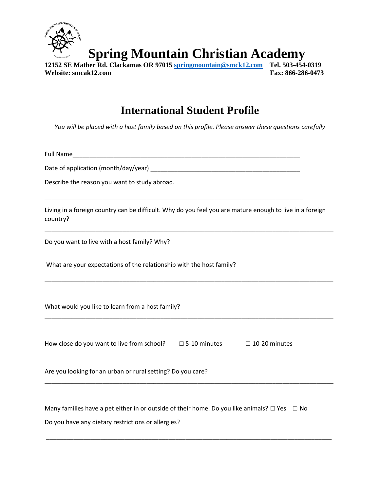

**Spring Mountain Christian Academy** 

**12152 SE Mather Rd. Clackamas OR 97015 [springmountain@smck12.com](mailto:springmountain@smck12.com) Tel. 503-454-0319 Website: smcak12.com Fax: 866-286-0473**

## **International Student Profile**

*You will be placed with a host family based on this profile. Please answer these questions carefully*

Full Name

Date of application (month/day/year) \_\_\_\_\_\_\_\_\_\_\_\_\_\_\_\_\_\_\_\_\_\_\_\_\_\_\_\_\_\_\_\_\_\_\_\_\_\_\_\_\_\_\_\_

\_\_\_\_\_\_\_\_\_\_\_\_\_\_\_\_\_\_\_\_\_\_\_\_\_\_\_\_\_\_\_\_\_\_\_\_\_\_\_\_\_\_\_\_\_\_\_\_\_\_\_\_\_\_\_\_\_\_\_\_\_\_\_\_\_\_\_\_\_\_\_\_\_\_\_\_

Describe the reason you want to study abroad.

Living in a foreign country can be difficult. Why do you feel you are mature enough to live in a foreign country?

\_\_\_\_\_\_\_\_\_\_\_\_\_\_\_\_\_\_\_\_\_\_\_\_\_\_\_\_\_\_\_\_\_\_\_\_\_\_\_\_\_\_\_\_\_\_\_\_\_\_\_\_\_\_\_\_\_\_\_\_\_\_\_\_\_\_\_\_\_\_\_\_\_\_\_\_\_\_\_\_\_\_\_\_\_

\_\_\_\_\_\_\_\_\_\_\_\_\_\_\_\_\_\_\_\_\_\_\_\_\_\_\_\_\_\_\_\_\_\_\_\_\_\_\_\_\_\_\_\_\_\_\_\_\_\_\_\_\_\_\_\_\_\_\_\_\_\_\_\_\_\_\_\_\_\_\_\_\_\_\_\_\_\_\_\_\_\_\_\_\_

\_\_\_\_\_\_\_\_\_\_\_\_\_\_\_\_\_\_\_\_\_\_\_\_\_\_\_\_\_\_\_\_\_\_\_\_\_\_\_\_\_\_\_\_\_\_\_\_\_\_\_\_\_\_\_\_\_\_\_\_\_\_\_\_\_\_\_\_\_\_\_\_\_\_\_\_\_\_\_\_\_\_\_\_\_

\_\_\_\_\_\_\_\_\_\_\_\_\_\_\_\_\_\_\_\_\_\_\_\_\_\_\_\_\_\_\_\_\_\_\_\_\_\_\_\_\_\_\_\_\_\_\_\_\_\_\_\_\_\_\_\_\_\_\_\_\_\_\_\_\_\_\_\_\_\_\_\_\_\_\_\_\_\_\_\_\_\_\_\_\_

\_\_\_\_\_\_\_\_\_\_\_\_\_\_\_\_\_\_\_\_\_\_\_\_\_\_\_\_\_\_\_\_\_\_\_\_\_\_\_\_\_\_\_\_\_\_\_\_\_\_\_\_\_\_\_\_\_\_\_\_\_\_\_\_\_\_\_\_\_\_\_\_\_\_\_\_\_\_\_\_\_\_\_\_\_

\_\_\_\_\_\_\_\_\_\_\_\_\_\_\_\_\_\_\_\_\_\_\_\_\_\_\_\_\_\_\_\_\_\_\_\_\_\_\_\_\_\_\_\_\_\_\_\_\_\_\_\_\_\_\_\_\_\_\_\_\_\_\_\_\_\_\_\_\_\_\_\_\_\_\_\_\_\_\_\_\_\_\_\_

Do you want to live with a host family? Why?

What are your expectations of the relationship with the host family?

What would you like to learn from a host family?

How close do you want to live from school?  $□ 5-10$  minutes  $□ 10-20$  minutes

Are you looking for an urban or rural setting? Do you care?

Many families have a pet either in or outside of their home. Do you like animals?  $\Box$  Yes  $\Box$  No

Do you have any dietary restrictions or allergies?